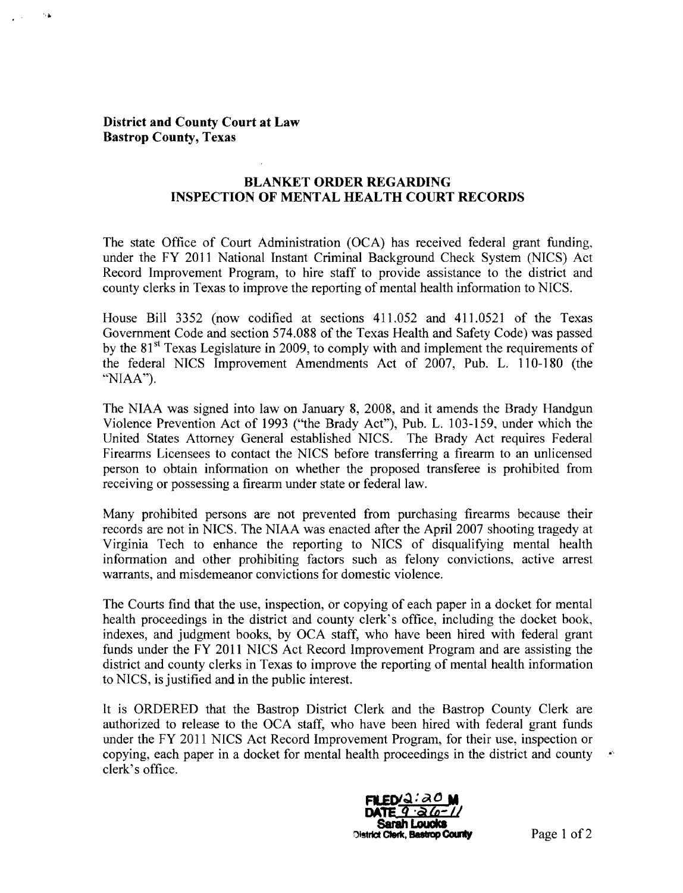## District and County Court at Law Bastrop County, Texas

## BLANKET ORDER REGARDING INSPECTION OF MENTAL HEALTH COURT RECORDS

The state Office of Court Administration (OCA) has received federal grant funding, under the FY 2011 National Instant Criminal Background Check System (NICS) Act Record Improvement Program, to hire staff to provide assistance to the district and county clerks in Texas to improve the reporting of mental health information to NICS.

House Bill 3352 (now codified at sections 411.052 and 411.0521 of the Texas Government Code and section 574.088 of the Texas Health and Safety Code) was passed by the  $81<sup>st</sup>$  Texas Legislature in 2009, to comply with and implement the requirements of the federal NICS Improvement Amendments Act of 2007, Pub. L. 110-180 (the "NIAA").

The NIAA was signed into law on January 8, 2008, and it amends the Brady Handgun Violence Prevention Act of 1993 ("the Brady Act"), Pub. L. 103-159, under which the United States Attorney General established NICS. The Brady Act requires Federal Firearms Licensees to contact the NICS before transferring a firearm to an unlicensed person to obtain information on whether the proposed transferee is prohibited from receiving or possessing a firearm under state or federal law.

Many prohibited persons are not prevented from purchasing firearms because their records are not in NICS. The NIAA was enacted after the April 2007 shooting tragedy at Virginia Tech to enhance the reporting to NICS of disqualifying mental health information and other prohibiting factors such as felony convictions, active arrest warrants, and misdemeanor convictions for domestic violence.

The Courts find that the use, inspection, or copying of each paper in a docket for mental health proceedings in the district and county clerk's office, including the docket book, indexes, and judgment books, by OCA staff, who have been hired with federal grant funds under the FY 2011 NICS Act Record Improvement Program and are assisting the district and county clerks in Texas to improve the reporting of mental health information to NICS, is justified and in the public interest.

It is ORDERED that the Bastrop District Clerk and the Bastrop County Clerk are authorized to release to the OCA staff, who have been hired with federal grant funds under the FY 2011 NICS Act Record Improvement Program, for their use, inspection or copying, each paper in a docket for mental health proceedings in the district and county clerk's office.